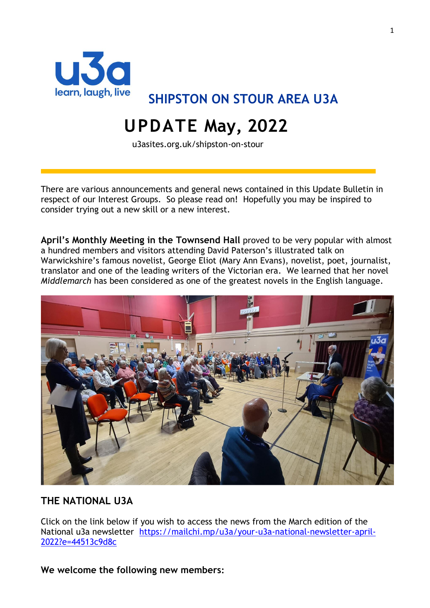

**SHIPSTON ON STOUR AREA U3A**

# **UPDATE May, 2022**

u3asites.org.uk/shipston-on-stour

There are various announcements and general news contained in this Update Bulletin in respect of our Interest Groups. So please read on! Hopefully you may be inspired to consider trying out a new skill or a new interest.

**April's Monthly Meeting in the Townsend Hall** proved to be very popular with almost a hundred members and visitors attending David Paterson's illustrated talk on Warwickshire's famous novelist, George Eliot (Mary Ann Evans), novelist, poet, journalist, translator and one of the leading writers of the [Victorian era.](https://en.wikipedia.org/wiki/Victorian_era) We learned that her novel *Middlemarch* has been considered as one of the greatest novels in the English language.



#### **THE NATIONAL U3A**

Click on the link below if you wish to access the news from the March edition of the National u3a newsletter [https://mailchi.mp/u3a/your-u3a-national-newsletter-april-](https://mailchi.mp/u3a/your-u3a-national-newsletter-april-2022?e=44513c9d8c)[2022?e=44513c9d8c](https://mailchi.mp/u3a/your-u3a-national-newsletter-april-2022?e=44513c9d8c)

**We welcome the following new members:**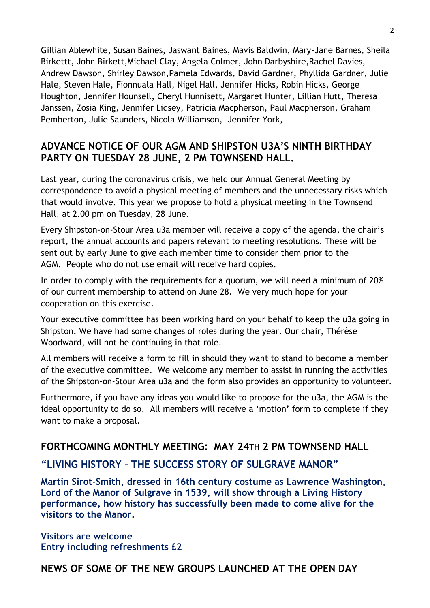Gillian Ablewhite, Susan Baines, Jaswant Baines, Mavis Baldwin, Mary-Jane Barnes, Sheila Birkettt, John Birkett,Michael Clay, Angela Colmer, John Darbyshire,Rachel Davies, Andrew Dawson, Shirley Dawson,Pamela Edwards, David Gardner, Phyllida Gardner, Julie Hale, Steven Hale, Fionnuala Hall, Nigel Hall, Jennifer Hicks, Robin Hicks, George Houghton, Jennifer Hounsell, Cheryl Hunnisett, Margaret Hunter, Lillian Hutt, Theresa Janssen, Zosia King, Jennifer Lidsey, Patricia Macpherson, Paul Macpherson, Graham Pemberton, Julie Saunders, Nicola Williamson, Jennifer York,

#### **ADVANCE NOTICE OF OUR AGM AND SHIPSTON U3A'S NINTH BIRTHDAY PARTY ON TUESDAY 28 JUNE, 2 PM TOWNSEND HALL.**

Last year, during the coronavirus crisis, we held our Annual General Meeting by correspondence to avoid a physical meeting of members and the unnecessary risks which that would involve. This year we propose to hold a physical meeting in the Townsend Hall, at 2.00 pm on Tuesday, 28 June.

Every Shipston-on-Stour Area u3a member will receive a copy of the agenda, the chair's report, the annual accounts and papers relevant to meeting resolutions. These will be sent out by early June to give each member time to consider them prior to the AGM. People who do not use email will receive hard copies.

In order to comply with the requirements for a quorum, we will need a minimum of 20% of our current membership to attend on June 28. We very much hope for your cooperation on this exercise.

Your executive committee has been working hard on your behalf to keep the u3a going in Shipston. We have had some changes of roles during the year. Our chair, Thérèse Woodward, will not be continuing in that role.

All members will receive a form to fill in should they want to stand to become a member of the executive committee. We welcome any member to assist in running the activities of the Shipston-on-Stour Area u3a and the form also provides an opportunity to volunteer.

Furthermore, if you have any ideas you would like to propose for the u3a, the AGM is the ideal opportunity to do so. All members will receive a 'motion' form to complete if they want to make a proposal.

## **FORTHCOMING MONTHLY MEETING: MAY 24TH 2 PM TOWNSEND HALL**

## **"LIVING HISTORY – THE SUCCESS STORY OF SULGRAVE MANOR"**

**Martin Sirot-Smith, dressed in 16th century costume as Lawrence Washington, Lord of the Manor of Sulgrave in 1539, will show through a Living History performance, how history has successfully been made to come alive for the visitors to the Manor.**

**Visitors are welcome Entry including refreshments £2**

# **NEWS OF SOME OF THE NEW GROUPS LAUNCHED AT THE OPEN DAY**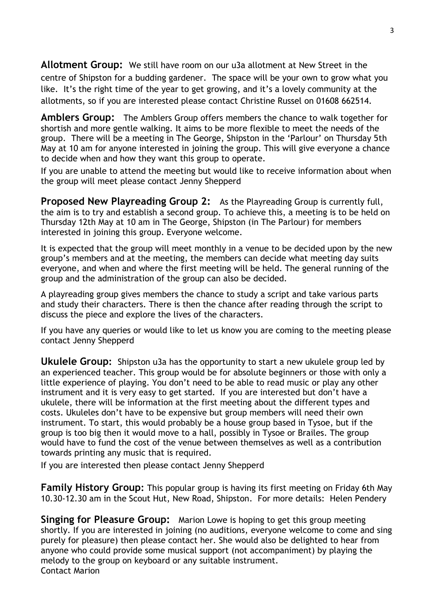**Allotment Group:** We still have room on our u3a allotment at New Street in the centre of Shipston for a budding gardener. The space will be your own to grow what you like. It's the right time of the year to get growing, and it's a lovely community at the allotments, so if you are interested please contact Christine Russel on 01608 662514.

**Amblers Group:** The Amblers Group offers members the chance to walk together for shortish and more gentle walking. It aims to be more flexible to meet the needs of the group. There will be a meeting in The George, Shipston in the 'Parlour' on Thursday 5th May at 10 am for anyone interested in joining the group. This will give everyone a chance to decide when and how they want this group to operate.

If you are unable to attend the meeting but would like to receive information about when the group will meet please contact Jenny Shepperd

**Proposed New Playreading Group 2:** As the Playreading Group is currently full, the aim is to try and establish a second group. To achieve this, a meeting is to be held on Thursday 12th May at 10 am in The George, Shipston (in The Parlour) for members interested in joining this group. Everyone welcome.

It is expected that the group will meet monthly in a venue to be decided upon by the new group's members and at the meeting, the members can decide what meeting day suits everyone, and when and where the first meeting will be held. The general running of the group and the administration of the group can also be decided.

A playreading group gives members the chance to study a script and take various parts and study their characters. There is then the chance after reading through the script to discuss the piece and explore the lives of the characters.

If you have any queries or would like to let us know you are coming to the meeting please contact Jenny Shepperd

**Ukulele Group:** Shipston u3a has the opportunity to start a new ukulele group led by an experienced teacher. This group would be for absolute beginners or those with only a little experience of playing. You don't need to be able to read music or play any other instrument and it is very easy to get started. If you are interested but don't have a ukulele, there will be information at the first meeting about the different types and costs. Ukuleles don't have to be expensive but group members will need their own instrument. To start, this would probably be a house group based in Tysoe, but if the group is too big then it would move to a hall, possibly in Tysoe or Brailes. The group would have to fund the cost of the venue between themselves as well as a contribution towards printing any music that is required.

If you are interested then please contact Jenny Shepperd

**Family History Group:** This popular group is having its first meeting on Friday 6th May 10.30-12.30 am in the Scout Hut, New Road, Shipston. For more details: Helen Pendery

**Singing for Pleasure Group:** Marion Lowe is hoping to get this group meeting shortly. If you are interested in joining (no auditions, everyone welcome to come and sing purely for pleasure) then please contact her. She would also be delighted to hear from anyone who could provide some musical support (not accompaniment) by playing the melody to the group on keyboard or any suitable instrument. Contact Marion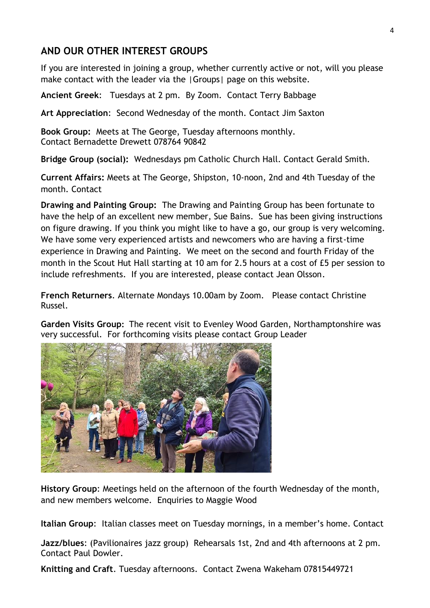## **AND OUR OTHER INTEREST GROUPS**

If you are interested in joining a group, whether currently active or not, will you please make contact with the leader via the |Groups| page on this website.

**Ancient Greek**: Tuesdays at 2 pm. By Zoom. Contact Terry Babbage

**Art Appreciation**: Second Wednesday of the month. Contact Jim Saxton

**Book Group:** Meets at The George, Tuesday afternoons monthly. Contact Bernadette Drewett 078764 90842

**Bridge Group (social):** Wednesdays pm Catholic Church Hall. Contact Gerald Smith.

**Current Affairs:** Meets at The George, Shipston, 10-noon, 2nd and 4th Tuesday of the month. Contact

**Drawing and Painting Group:** The Drawing and Painting Group has been fortunate to have the help of an excellent new member, Sue Bains. Sue has been giving instructions on figure drawing. If you think you might like to have a go, our group is very welcoming. We have some very experienced artists and newcomers who are having a first-time experience in Drawing and Painting. We meet on the second and fourth Friday of the month in the Scout Hut Hall starting at 10 am for 2.5 hours at a cost of £5 per session to include refreshments. If you are interested, please contact Jean Olsson.

**French Returners**. Alternate Mondays 10.00am by Zoom. Please contact Christine Russel.

**Garden Visits Group:** The recent visit to Evenley Wood Garden, Northamptonshire was very successful. For forthcoming visits please contact Group Leader



**History Group**: Meetings held on the afternoon of the fourth Wednesday of the month, and new members welcome. Enquiries to Maggie Wood

**Italian Group**: Italian classes meet on Tuesday mornings, in a member's home. Contact

**Jazz/blues**: (Pavilionaires jazz group) Rehearsals 1st, 2nd and 4th afternoons at 2 pm. Contact Paul Dowler.

**Knitting and Craft**. Tuesday afternoons. Contact Zwena Wakeham 07815449721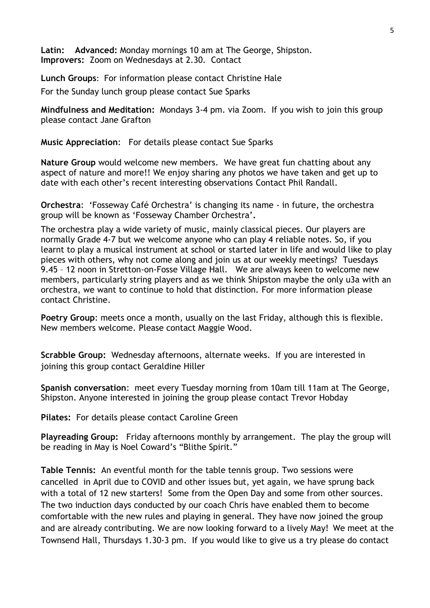**Latin: Advanced:** Monday mornings 10 am at The George, Shipston. **Improvers:** Zoom on Wednesdays at 2.30. Contact

**Lunch Groups**: For information please contact Christine Hale

For the Sunday lunch group please contact Sue Sparks

**Mindfulness and Meditation:** Mondays 3-4 pm. via Zoom. If you wish to join this group please contact Jane Grafton

**Music Appreciation**: For details please contact Sue Sparks

**Nature Group** would welcome new members. We have great fun chatting about any aspect of nature and more!! We enjoy sharing any photos we have taken and get up to date with each other's recent interesting observations Contact Phil Randall.

**Orchestra**: 'Fosseway Café Orchestra' is changing its name - in future, the orchestra group will be known as 'Fosseway Chamber Orchestra'**.**

The orchestra play a wide variety of music, mainly classical pieces. Our players are normally Grade 4-7 but we welcome anyone who can play 4 reliable notes. So, if you learnt to play a musical instrument at school or started later in life and would like to play pieces with others, why not come along and join us at our weekly meetings? Tuesdays 9.45 – 12 noon in Stretton-on-Fosse Village Hall. We are always keen to welcome new members, particularly string players and as we think Shipston maybe the only u3a with an orchestra, we want to continue to hold that distinction. For more information please contact Christine.

**Poetry Group**: meets once a month, usually on the last Friday, although this is flexible. New members welcome. Please contact Maggie Wood.

**Scrabble Group:** Wednesday afternoons, alternate weeks. If you are interested in joining this group contact Geraldine Hiller

**Spanish conversation**: meet every Tuesday morning from 10am till 11am at The George, Shipston. Anyone interested in joining the group please contact Trevor Hobday

**Pilates:** For details please contact Caroline Green

**Playreading Group:** Friday afternoons monthly by arrangement. The play the group will be reading in May is Noel Coward's "Blithe Spirit."

**Table Tennis:** An eventful month for the table tennis group. Two sessions were cancelled in April due to COVID and other issues but, yet again, we have sprung back with a total of 12 new starters! Some from the Open Day and some from other sources. The two induction days conducted by our coach Chris have enabled them to become comfortable with the new rules and playing in general. They have now joined the group and are already contributing. We are now looking forward to a lively May! We meet at the Townsend Hall, Thursdays 1.30-3 pm. If you would like to give us a try please do contact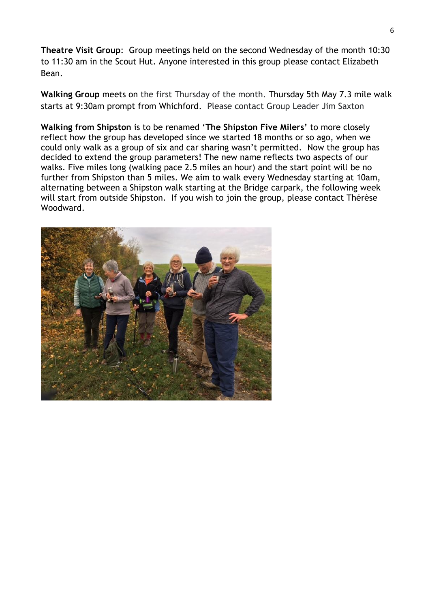**Theatre Visit Group**: Group meetings held on the second Wednesday of the month 10:30 to 11:30 am in the Scout Hut. Anyone interested in this group please contact Elizabeth Bean.

**Walking Group** meets on the first Thursday of the month. Thursday 5th May 7.3 mile walk starts at 9:30am prompt from Whichford. Please contact Group Leader Jim Saxton

**Walking from Shipston** is to be renamed '**The Shipston Five Milers'** to more closely reflect how the group has developed since we started 18 months or so ago, when we could only walk as a group of six and car sharing wasn't permitted. Now the group has decided to extend the group parameters! The new name reflects two aspects of our walks. Five miles long (walking pace 2.5 miles an hour) and the start point will be no further from Shipston than 5 miles. We aim to walk every Wednesday starting at 10am, alternating between a Shipston walk starting at the Bridge carpark, the following week will start from outside Shipston. If you wish to join the group, please contact Thérèse Woodward.

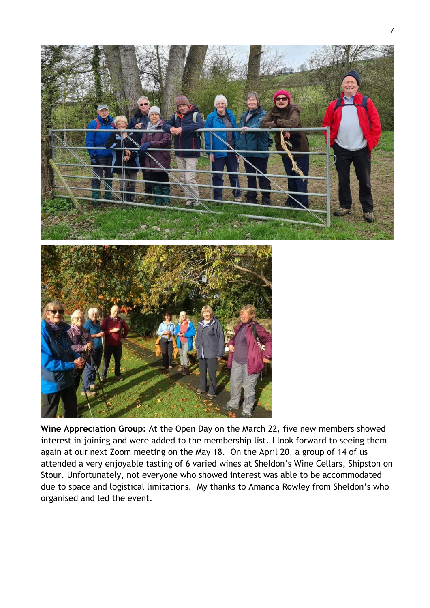



**Wine Appreciation Group:** At the Open Day on the March 22, five new members showed interest in joining and were added to the membership list. I look forward to seeing them again at our next Zoom meeting on the May 18. On the April 20, a group of 14 of us attended a very enjoyable tasting of 6 varied wines at Sheldon's Wine Cellars, Shipston on Stour. Unfortunately, not everyone who showed interest was able to be accommodated due to space and logistical limitations. My thanks to Amanda Rowley from Sheldon's who organised and led the event.